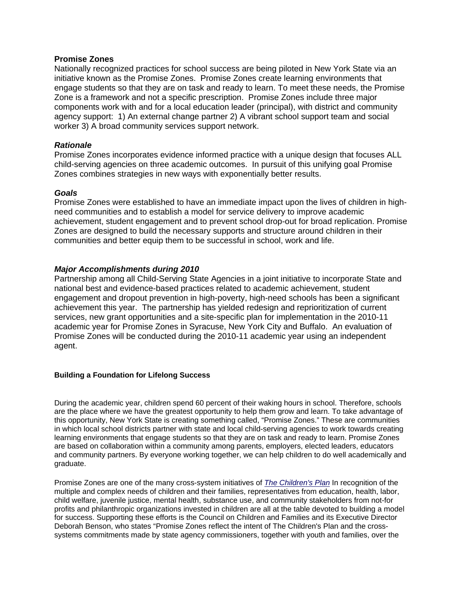# **Promise Zones**

Nationally recognized practices for school success are being piloted in New York State via an initiative known as the Promise Zones. Promise Zones create learning environments that engage students so that they are on task and ready to learn. To meet these needs, the Promise Zone is a framework and not a specific prescription. Promise Zones include three major components work with and for a local education leader (principal), with district and community agency support: 1) An external change partner 2) A vibrant school support team and social worker 3) A broad community services support network.

# *Rationale*

Promise Zones incorporates evidence informed practice with a unique design that focuses ALL child-serving agencies on three academic outcomes. In pursuit of this unifying goal Promise Zones combines strategies in new ways with exponentially better results.

### *Goals*

Promise Zones were established to have an immediate impact upon the lives of children in highneed communities and to establish a model for service delivery to improve academic achievement, student engagement and to prevent school drop-out for broad replication. Promise Zones are designed to build the necessary supports and structure around children in their communities and better equip them to be successful in school, work and life.

# *Major Accomplishments during 2010*

Partnership among all Child-Serving State Agencies in a joint initiative to incorporate State and national best and evidence-based practices related to academic achievement, student engagement and dropout prevention in high-poverty, high-need schools has been a significant achievement this year. The partnership has yielded redesign and reprioritization of current services, new grant opportunities and a site-specific plan for implementation in the 2010-11 academic year for Promise Zones in Syracuse, New York City and Buffalo. An evaluation of Promise Zones will be conducted during the 2010-11 academic year using an independent agent.

#### **Building a Foundation for Lifelong Success**

During the academic year, children spend 60 percent of their waking hours in school. Therefore, schools are the place where we have the greatest opportunity to help them grow and learn. To take advantage of this opportunity, New York State is creating something called, "Promise Zones." These are communities in which local school districts partner with state and local child-serving agencies to work towards creating learning environments that engage students so that they are on task and ready to learn. Promise Zones are based on collaboration within a community among parents, employers, elected leaders, educators and community partners. By everyone working together, we can help children to do well academically and graduate.

Promise Zones are one of the many cross-system initiatives of *The Children's Plan* In recognition of the multiple and complex needs of children and their families, representatives from education, health, labor, child welfare, juvenile justice, mental health, substance use, and community stakeholders from not-for profits and philanthropic organizations invested in children are all at the table devoted to building a model for success. Supporting these efforts is the Council on Children and Families and its Executive Director Deborah Benson, who states "Promise Zones reflect the intent of The Children's Plan and the crosssystems commitments made by state agency commissioners, together with youth and families, over the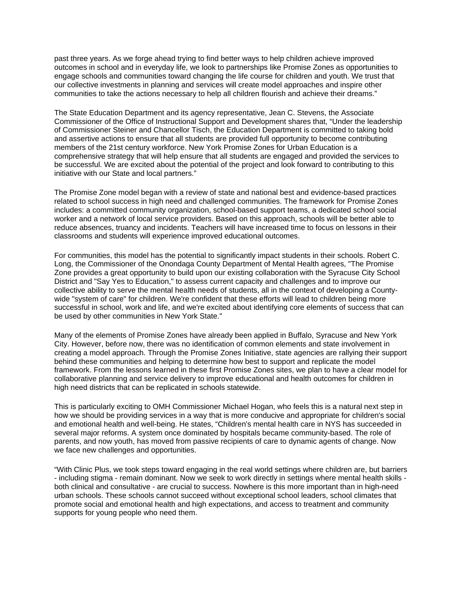past three years. As we forge ahead trying to find better ways to help children achieve improved outcomes in school and in everyday life, we look to partnerships like Promise Zones as opportunities to engage schools and communities toward changing the life course for children and youth. We trust that our collective investments in planning and services will create model approaches and inspire other communities to take the actions necessary to help all children flourish and achieve their dreams."

The State Education Department and its agency representative, Jean C. Stevens, the Associate Commissioner of the Office of Instructional Support and Development shares that, "Under the leadership of Commissioner Steiner and Chancellor Tisch, the Education Department is committed to taking bold and assertive actions to ensure that all students are provided full opportunity to become contributing members of the 21st century workforce. New York Promise Zones for Urban Education is a comprehensive strategy that will help ensure that all students are engaged and provided the services to be successful. We are excited about the potential of the project and look forward to contributing to this initiative with our State and local partners."

The Promise Zone model began with a review of state and national best and evidence-based practices related to school success in high need and challenged communities. The framework for Promise Zones includes: a committed community organization, school-based support teams, a dedicated school social worker and a network of local service providers. Based on this approach, schools will be better able to reduce absences, truancy and incidents. Teachers will have increased time to focus on lessons in their classrooms and students will experience improved educational outcomes.

For communities, this model has the potential to significantly impact students in their schools. Robert C. Long, the Commissioner of the Onondaga County Department of Mental Health agrees, "The Promise Zone provides a great opportunity to build upon our existing collaboration with the Syracuse City School District and "Say Yes to Education," to assess current capacity and challenges and to improve our collective ability to serve the mental health needs of students, all in the context of developing a Countywide "system of care" for children. We're confident that these efforts will lead to children being more successful in school, work and life, and we're excited about identifying core elements of success that can be used by other communities in New York State."

Many of the elements of Promise Zones have already been applied in Buffalo, Syracuse and New York City. However, before now, there was no identification of common elements and state involvement in creating a model approach. Through the Promise Zones Initiative, state agencies are rallying their support behind these communities and helping to determine how best to support and replicate the model framework. From the lessons learned in these first Promise Zones sites, we plan to have a clear model for collaborative planning and service delivery to improve educational and health outcomes for children in high need districts that can be replicated in schools statewide.

This is particularly exciting to OMH Commissioner Michael Hogan, who feels this is a natural next step in how we should be providing services in a way that is more conducive and appropriate for children's social and emotional health and well-being. He states, "Children's mental health care in NYS has succeeded in several major reforms. A system once dominated by hospitals became community-based. The role of parents, and now youth, has moved from passive recipients of care to dynamic agents of change. Now we face new challenges and opportunities.

"With Clinic Plus, we took steps toward engaging in the real world settings where children are, but barriers - including stigma - remain dominant. Now we seek to work directly in settings where mental health skills both clinical and consultative - are crucial to success. Nowhere is this more important than in high-need urban schools. These schools cannot succeed without exceptional school leaders, school climates that promote social and emotional health and high expectations, and access to treatment and community supports for young people who need them.